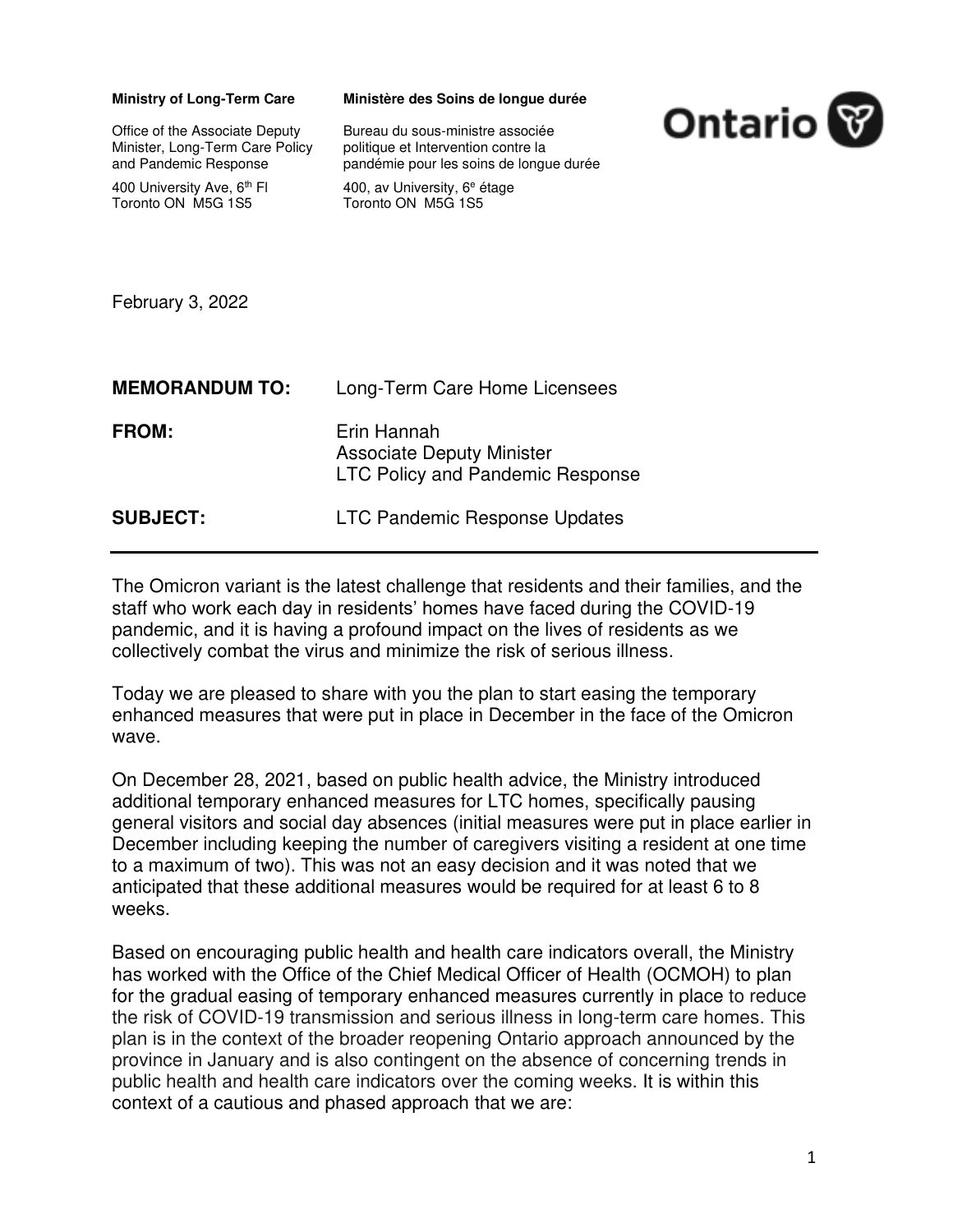| <b>Ministry of Long-Term Care</b><br>Office of the Associate Deputy<br>Minister, Long-Term Care Policy<br>and Pandemic Response<br>400 University Ave, 6 <sup>th</sup> FI<br>Toronto ON M5G 1S5 | Ministère des Soins de longue durée<br>Bureau du sous-ministre associée<br>politique et Intervention contre la<br>pandémie pour les soins de longue durée<br>400, av University, 6 <sup>e</sup> étage<br>Toronto ON M5G 1S5 | <b>Ontario</b> |
|-------------------------------------------------------------------------------------------------------------------------------------------------------------------------------------------------|-----------------------------------------------------------------------------------------------------------------------------------------------------------------------------------------------------------------------------|----------------|
| February 3, 2022                                                                                                                                                                                |                                                                                                                                                                                                                             |                |
| <b>MEMORANDUM TO:</b>                                                                                                                                                                           | Long-Term Care Home Licensees                                                                                                                                                                                               |                |
| <b>FROM:</b>                                                                                                                                                                                    | Erin Hannah<br><b>Associate Deputy Minister</b><br><b>LTC Policy and Pandemic Response</b>                                                                                                                                  |                |
| <b>SUBJECT:</b>                                                                                                                                                                                 | LTC Pandemic Response Updates                                                                                                                                                                                               |                |

The Omicron variant is the latest challenge that residents and their families, and the staff who work each day in residents' homes have faced during the COVID-19 pandemic, and it is having a profound impact on the lives of residents as we collectively combat the virus and minimize the risk of serious illness.

Today we are pleased to share with you the plan to start easing the temporary enhanced measures that were put in place in December in the face of the Omicron wave.

On December 28, 2021, based on public health advice, the Ministry introduced additional temporary enhanced measures for LTC homes, specifically pausing general visitors and social day absences (initial measures were put in place earlier in December including keeping the number of caregivers visiting a resident at one time to a maximum of two). This was not an easy decision and it was noted that we anticipated that these additional measures would be required for at least 6 to 8 weeks.

Based on encouraging public health and health care indicators overall, the Ministry has worked with the Office of the Chief Medical Officer of Health (OCMOH) to plan for the gradual easing of temporary enhanced measures currently in place to reduce the risk of COVID-19 transmission and serious illness in long-term care homes. This plan is in the context of the broader reopening Ontario approach announced by the province in January and is also contingent on the absence of concerning trends in public health and health care indicators over the coming weeks. It is within this context of a cautious and phased approach that we are: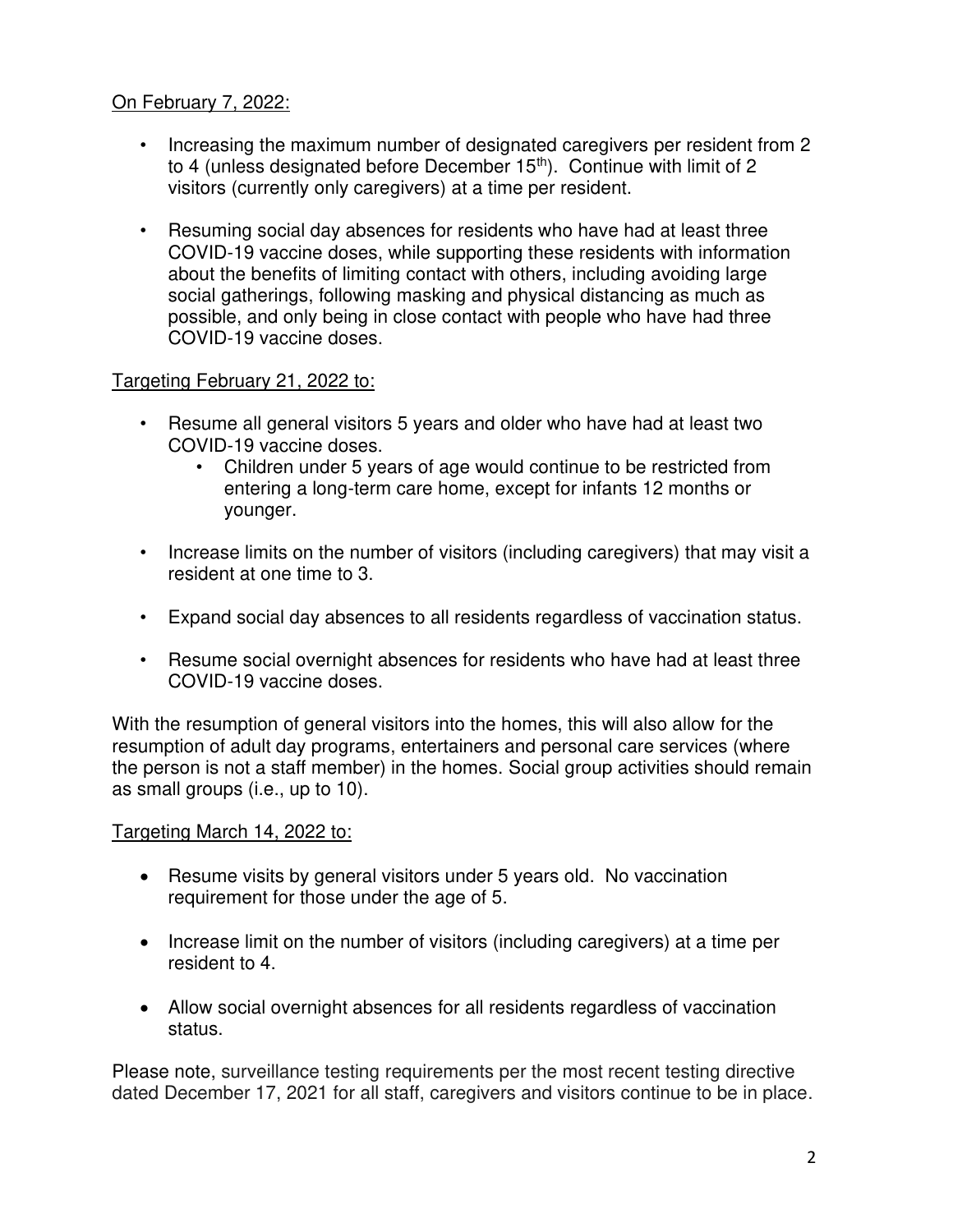## On February 7, 2022:

- Increasing the maximum number of designated caregivers per resident from 2 to 4 (unless designated before December 15<sup>th</sup>). Continue with limit of 2 visitors (currently only caregivers) at a time per resident.
- Resuming social day absences for residents who have had at least three COVID-19 vaccine doses, while supporting these residents with information about the benefits of limiting contact with others, including avoiding large social gatherings, following masking and physical distancing as much as possible, and only being in close contact with people who have had three COVID-19 vaccine doses.

## Targeting February 21, 2022 to:

- Resume all general visitors 5 years and older who have had at least two COVID-19 vaccine doses.
	- Children under 5 years of age would continue to be restricted from entering a long-term care home, except for infants 12 months or younger.
- Increase limits on the number of visitors (including caregivers) that may visit a resident at one time to 3.
- Expand social day absences to all residents regardless of vaccination status.
- Resume social overnight absences for residents who have had at least three COVID-19 vaccine doses.

With the resumption of general visitors into the homes, this will also allow for the resumption of adult day programs, entertainers and personal care services (where the person is not a staff member) in the homes. Social group activities should remain as small groups (i.e., up to 10).

## Targeting March 14, 2022 to:

- Resume visits by general visitors under 5 years old. No vaccination requirement for those under the age of 5.
- Increase limit on the number of visitors (including caregivers) at a time per resident to 4.
- Allow social overnight absences for all residents regardless of vaccination status.

Please note, surveillance testing requirements per the most recent testing directive dated December 17, 2021 for all staff, caregivers and visitors continue to be in place.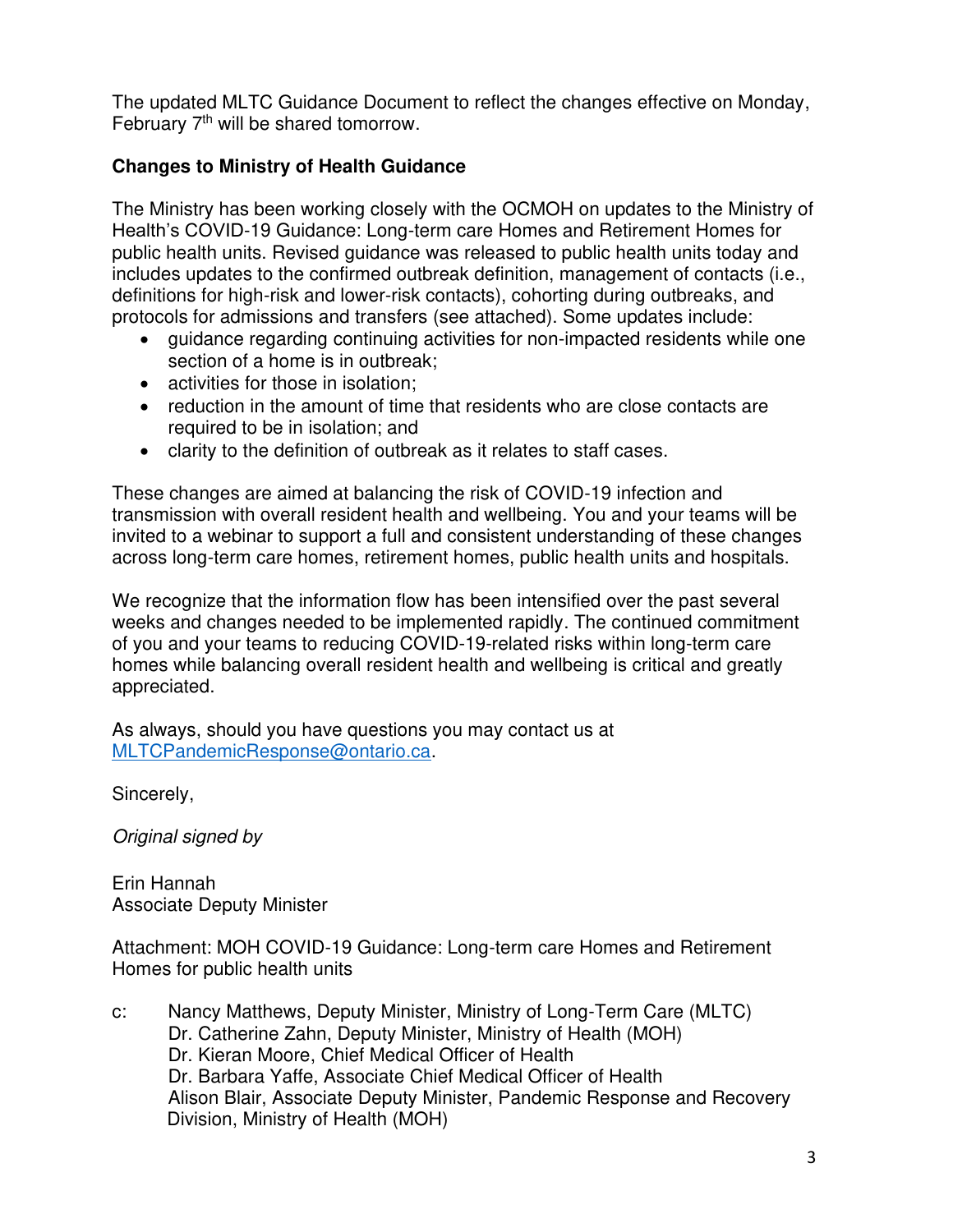The updated MLTC Guidance Document to reflect the changes effective on Monday, February 7<sup>th</sup> will be shared tomorrow.

## **Changes to Ministry of Health Guidance**

The Ministry has been working closely with the OCMOH on updates to the Ministry of Health's COVID-19 Guidance: Long-term care Homes and Retirement Homes for public health units. Revised guidance was released to public health units today and includes updates to the confirmed outbreak definition, management of contacts (i.e., definitions for high-risk and lower-risk contacts), cohorting during outbreaks, and protocols for admissions and transfers (see attached). Some updates include:

- guidance regarding continuing activities for non-impacted residents while one section of a home is in outbreak;
- activities for those in isolation:
- reduction in the amount of time that residents who are close contacts are required to be in isolation; and
- clarity to the definition of outbreak as it relates to staff cases.

These changes are aimed at balancing the risk of COVID-19 infection and transmission with overall resident health and wellbeing. You and your teams will be invited to a webinar to support a full and consistent understanding of these changes across long-term care homes, retirement homes, public health units and hospitals.

We recognize that the information flow has been intensified over the past several weeks and changes needed to be implemented rapidly. The continued commitment of you and your teams to reducing COVID-19-related risks within long-term care homes while balancing overall resident health and wellbeing is critical and greatly appreciated.

As always, should you have questions you may contact us at [MLTCPandemicResponse@ontario.ca.](mailto:MLTCPandemicResponse@ontario.ca)

Sincerely,

Original signed by

Erin Hannah Associate Deputy Minister

Attachment: MOH COVID-19 Guidance: Long-term care Homes and Retirement Homes for public health units

c: Nancy Matthews, Deputy Minister, Ministry of Long-Term Care (MLTC) Dr. Catherine Zahn, Deputy Minister, Ministry of Health (MOH) Dr. Kieran Moore, Chief Medical Officer of Health Dr. Barbara Yaffe, Associate Chief Medical Officer of Health Alison Blair, Associate Deputy Minister, Pandemic Response and Recovery Division, Ministry of Health (MOH)